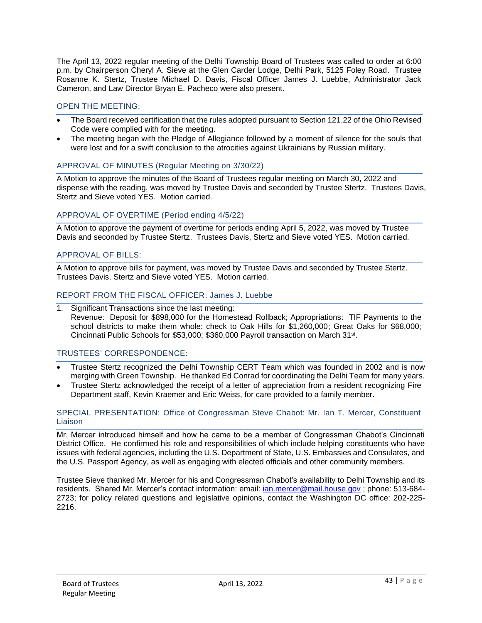The April 13, 2022 regular meeting of the Delhi Township Board of Trustees was called to order at 6:00 p.m. by Chairperson Cheryl A. Sieve at the Glen Carder Lodge, Delhi Park, 5125 Foley Road. Trustee Rosanne K. Stertz, Trustee Michael D. Davis, Fiscal Officer James J. Luebbe, Administrator Jack Cameron, and Law Director Bryan E. Pacheco were also present.

# OPEN THE MEETING:

- The Board received certification that the rules adopted pursuant to Section 121.22 of the Ohio Revised Code were complied with for the meeting.
- The meeting began with the Pledge of Allegiance followed by a moment of silence for the souls that were lost and for a swift conclusion to the atrocities against Ukrainians by Russian military.

# APPROVAL OF MINUTES (Regular Meeting on 3/30/22)

A Motion to approve the minutes of the Board of Trustees regular meeting on March 30, 2022 and dispense with the reading, was moved by Trustee Davis and seconded by Trustee Stertz. Trustees Davis, Stertz and Sieve voted YES. Motion carried.

# APPROVAL OF OVERTIME (Period ending 4/5/22)

A Motion to approve the payment of overtime for periods ending April 5, 2022, was moved by Trustee Davis and seconded by Trustee Stertz. Trustees Davis, Stertz and Sieve voted YES. Motion carried.

# APPROVAL OF BILLS:

A Motion to approve bills for payment, was moved by Trustee Davis and seconded by Trustee Stertz. Trustees Davis, Stertz and Sieve voted YES. Motion carried.

## REPORT FROM THE FISCAL OFFICER: James J. Luebbe

1. Significant Transactions since the last meeting: Revenue: Deposit for \$898,000 for the Homestead Rollback; Appropriations: TIF Payments to the school districts to make them whole: check to Oak Hills for \$1,260,000; Great Oaks for \$68,000; Cincinnati Public Schools for \$53,000; \$360,000 Payroll transaction on March 31st.

# TRUSTEES' CORRESPONDENCE:

- Trustee Stertz recognized the Delhi Township CERT Team which was founded in 2002 and is now merging with Green Township. He thanked Ed Conrad for coordinating the Delhi Team for many years.
- Trustee Stertz acknowledged the receipt of a letter of appreciation from a resident recognizing Fire Department staff, Kevin Kraemer and Eric Weiss, for care provided to a family member.

### SPECIAL PRESENTATION: Office of Congressman Steve Chabot: Mr. Ian T. Mercer, Constituent Liaison

Mr. Mercer introduced himself and how he came to be a member of Congressman Chabot's Cincinnati District Office. He confirmed his role and responsibilities of which include helping constituents who have issues with federal agencies, including the U.S. Department of State, U.S. Embassies and Consulates, and the U.S. Passport Agency, as well as engaging with elected officials and other community members.

Trustee Sieve thanked Mr. Mercer for his and Congressman Chabot's availability to Delhi Township and its residents. Shared Mr. Mercer's contact information: email: [ian.mercer@mail.house.gov](mailto:ian.mercer@mail.house.gov); phone: 513-684-2723; for policy related questions and legislative opinions, contact the Washington DC office: 202-225- 2216.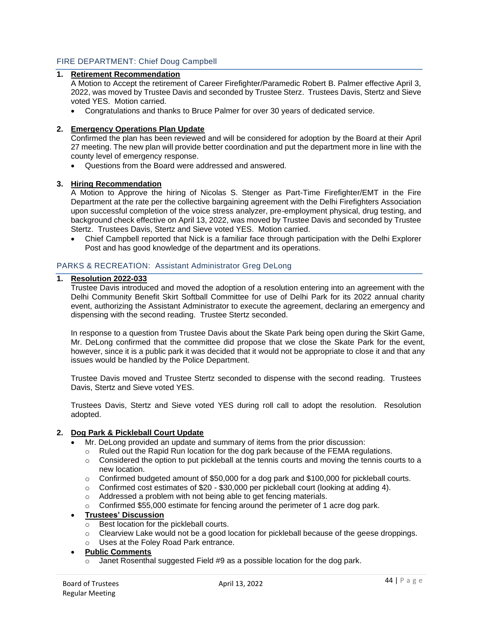## FIRE DEPARTMENT: Chief Doug Campbell

# **1. Retirement Recommendation**

A Motion to Accept the retirement of Career Firefighter/Paramedic Robert B. Palmer effective April 3, 2022, was moved by Trustee Davis and seconded by Trustee Sterz. Trustees Davis, Stertz and Sieve voted YES. Motion carried.

• Congratulations and thanks to Bruce Palmer for over 30 years of dedicated service.

#### **2. Emergency Operations Plan Update**

Confirmed the plan has been reviewed and will be considered for adoption by the Board at their April 27 meeting. The new plan will provide better coordination and put the department more in line with the county level of emergency response.

• Questions from the Board were addressed and answered.

#### **3. Hiring Recommendation**

A Motion to Approve the hiring of Nicolas S. Stenger as Part-Time Firefighter/EMT in the Fire Department at the rate per the collective bargaining agreement with the Delhi Firefighters Association upon successful completion of the voice stress analyzer, pre-employment physical, drug testing, and background check effective on April 13, 2022, was moved by Trustee Davis and seconded by Trustee Stertz. Trustees Davis, Stertz and Sieve voted YES. Motion carried.

• Chief Campbell reported that Nick is a familiar face through participation with the Delhi Explorer Post and has good knowledge of the department and its operations.

### PARKS & RECREATION: Assistant Administrator Greg DeLong

#### **1. Resolution 2022-033**

Trustee Davis introduced and moved the adoption of a resolution entering into an agreement with the Delhi Community Benefit Skirt Softball Committee for use of Delhi Park for its 2022 annual charity event, authorizing the Assistant Administrator to execute the agreement, declaring an emergency and dispensing with the second reading. Trustee Stertz seconded.

In response to a question from Trustee Davis about the Skate Park being open during the Skirt Game, Mr. DeLong confirmed that the committee did propose that we close the Skate Park for the event, however, since it is a public park it was decided that it would not be appropriate to close it and that any issues would be handled by the Police Department.

Trustee Davis moved and Trustee Stertz seconded to dispense with the second reading. Trustees Davis, Stertz and Sieve voted YES.

Trustees Davis, Stertz and Sieve voted YES during roll call to adopt the resolution. Resolution adopted.

### **2. Dog Park & Pickleball Court Update**

- Mr. DeLong provided an update and summary of items from the prior discussion:
	- $\circ$  Ruled out the Rapid Run location for the dog park because of the FEMA regulations.
	- $\circ$  Considered the option to put pickleball at the tennis courts and moving the tennis courts to a new location.
	- $\circ$  Confirmed budgeted amount of \$50,000 for a dog park and \$100,000 for pickleball courts.
	- $\circ$  Confirmed cost estimates of \$20 \$30,000 per pickleball court (looking at adding 4).
	- o Addressed a problem with not being able to get fencing materials.
	- o Confirmed \$55,000 estimate for fencing around the perimeter of 1 acre dog park.

#### • **Trustees' Discussion**

- $\overline{\circ}$  Best location for the pickleball courts.
- $\circ$  Clearview Lake would not be a good location for pickleball because of the geese droppings.
- o Uses at the Foley Road Park entrance.
- **Public Comments**
	- Janet Rosenthal suggested Field #9 as a possible location for the dog park.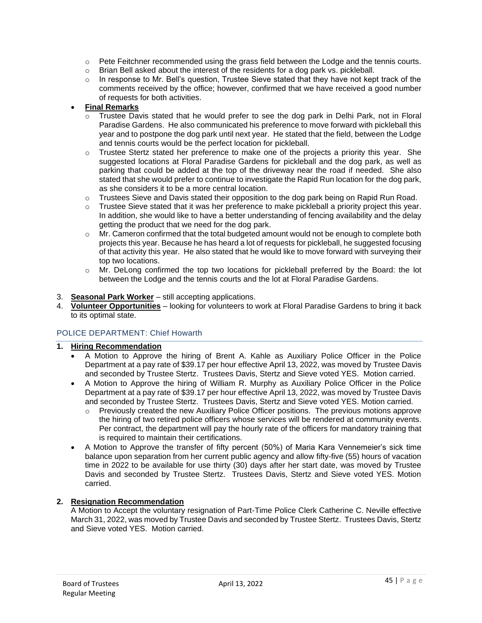- o Pete Feitchner recommended using the grass field between the Lodge and the tennis courts.
- o Brian Bell asked about the interest of the residents for a dog park vs. pickleball.
- $\circ$  In response to Mr. Bell's question, Trustee Sieve stated that they have not kept track of the comments received by the office; however, confirmed that we have received a good number of requests for both activities.

# • **Final Remarks**

- Trustee Davis stated that he would prefer to see the dog park in Delhi Park, not in Floral Paradise Gardens. He also communicated his preference to move forward with pickleball this year and to postpone the dog park until next year. He stated that the field, between the Lodge and tennis courts would be the perfect location for pickleball.
- $\circ$  Trustee Stertz stated her preference to make one of the projects a priority this year. She suggested locations at Floral Paradise Gardens for pickleball and the dog park, as well as parking that could be added at the top of the driveway near the road if needed. She also stated that she would prefer to continue to investigate the Rapid Run location for the dog park, as she considers it to be a more central location.
- $\circ$  Trustees Sieve and Davis stated their opposition to the dog park being on Rapid Run Road.
- $\circ$  Trustee Sieve stated that it was her preference to make pickleball a priority project this year. In addition, she would like to have a better understanding of fencing availability and the delay getting the product that we need for the dog park.
- o Mr. Cameron confirmed that the total budgeted amount would not be enough to complete both projects this year. Because he has heard a lot of requests for pickleball, he suggested focusing of that activity this year. He also stated that he would like to move forward with surveying their top two locations.
- o Mr. DeLong confirmed the top two locations for pickleball preferred by the Board: the lot between the Lodge and the tennis courts and the lot at Floral Paradise Gardens.
- 3. **Seasonal Park Worker** still accepting applications.
- 4. **Volunteer Opportunities** looking for volunteers to work at Floral Paradise Gardens to bring it back to its optimal state.

# POLICE DEPARTMENT: Chief Howarth

# **1. Hiring Recommendation**

- A Motion to Approve the hiring of Brent A. Kahle as Auxiliary Police Officer in the Police Department at a pay rate of \$39.17 per hour effective April 13, 2022, was moved by Trustee Davis and seconded by Trustee Stertz. Trustees Davis, Stertz and Sieve voted YES. Motion carried.
- A Motion to Approve the hiring of William R. Murphy as Auxiliary Police Officer in the Police Department at a pay rate of \$39.17 per hour effective April 13, 2022, was moved by Trustee Davis and seconded by Trustee Stertz. Trustees Davis, Stertz and Sieve voted YES. Motion carried.
	- $\circ$  Previously created the new Auxiliary Police Officer positions. The previous motions approve the hiring of two retired police officers whose services will be rendered at community events. Per contract, the department will pay the hourly rate of the officers for mandatory training that is required to maintain their certifications.
- A Motion to Approve the transfer of fifty percent (50%) of Maria Kara Vennemeier's sick time balance upon separation from her current public agency and allow fifty-five (55) hours of vacation time in 2022 to be available for use thirty (30) days after her start date, was moved by Trustee Davis and seconded by Trustee Stertz. Trustees Davis, Stertz and Sieve voted YES. Motion carried.

# **2. Resignation Recommendation**

A Motion to Accept the voluntary resignation of Part-Time Police Clerk Catherine C. Neville effective March 31, 2022, was moved by Trustee Davis and seconded by Trustee Stertz. Trustees Davis, Stertz and Sieve voted YES. Motion carried.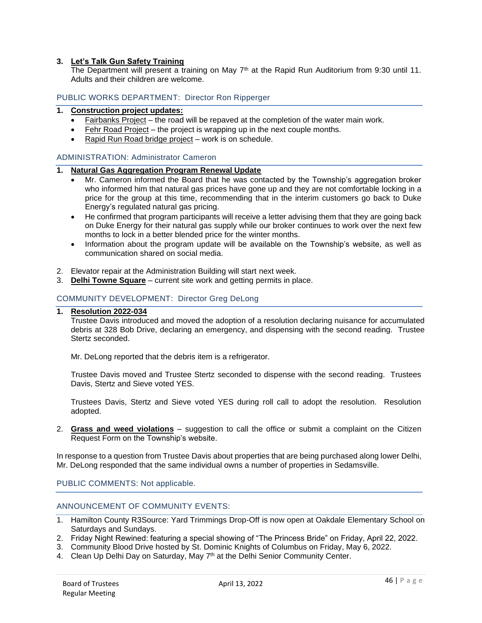## **3. Let's Talk Gun Safety Training**

The Department will present a training on May  $7<sup>th</sup>$  at the Rapid Run Auditorium from 9:30 until 11. Adults and their children are welcome.

## PUBLIC WORKS DEPARTMENT: Director Ron Ripperger

## **1. Construction project updates:**

- Fairbanks Project the road will be repaved at the completion of the water main work.
- Fehr Road Project the project is wrapping up in the next couple months.
- Rapid Run Road bridge project work is on schedule.

## ADMINISTRATION: Administrator Cameron

## **1. Natural Gas Aggregation Program Renewal Update**

- Mr. Cameron informed the Board that he was contacted by the Township's aggregation broker who informed him that natural gas prices have gone up and they are not comfortable locking in a price for the group at this time, recommending that in the interim customers go back to Duke Energy's regulated natural gas pricing.
- He confirmed that program participants will receive a letter advising them that they are going back on Duke Energy for their natural gas supply while our broker continues to work over the next few months to lock in a better blended price for the winter months.
- Information about the program update will be available on the Township's website, as well as communication shared on social media.
- 2. Elevator repair at the Administration Building will start next week.
- 3. **Delhi Towne Square** current site work and getting permits in place.

# COMMUNITY DEVELOPMENT: Director Greg DeLong

### **1. Resolution 2022-034**

Trustee Davis introduced and moved the adoption of a resolution declaring nuisance for accumulated debris at 328 Bob Drive, declaring an emergency, and dispensing with the second reading. Trustee Stertz seconded.

Mr. DeLong reported that the debris item is a refrigerator.

Trustee Davis moved and Trustee Stertz seconded to dispense with the second reading. Trustees Davis, Stertz and Sieve voted YES.

Trustees Davis, Stertz and Sieve voted YES during roll call to adopt the resolution. Resolution adopted.

2. **Grass and weed violations** – suggestion to call the office or submit a complaint on the Citizen Request Form on the Township's website.

In response to a question from Trustee Davis about properties that are being purchased along lower Delhi, Mr. DeLong responded that the same individual owns a number of properties in Sedamsville.

PUBLIC COMMENTS: Not applicable.

## ANNOUNCEMENT OF COMMUNITY EVENTS:

- 1. Hamilton County R3Source: Yard Trimmings Drop-Off is now open at Oakdale Elementary School on Saturdays and Sundays.
- 2. Friday Night Rewined: featuring a special showing of "The Princess Bride" on Friday, April 22, 2022.
- 3. Community Blood Drive hosted by St. Dominic Knights of Columbus on Friday, May 6, 2022.
- 4. Clean Up Delhi Day on Saturday, May 7<sup>th</sup> at the Delhi Senior Community Center.